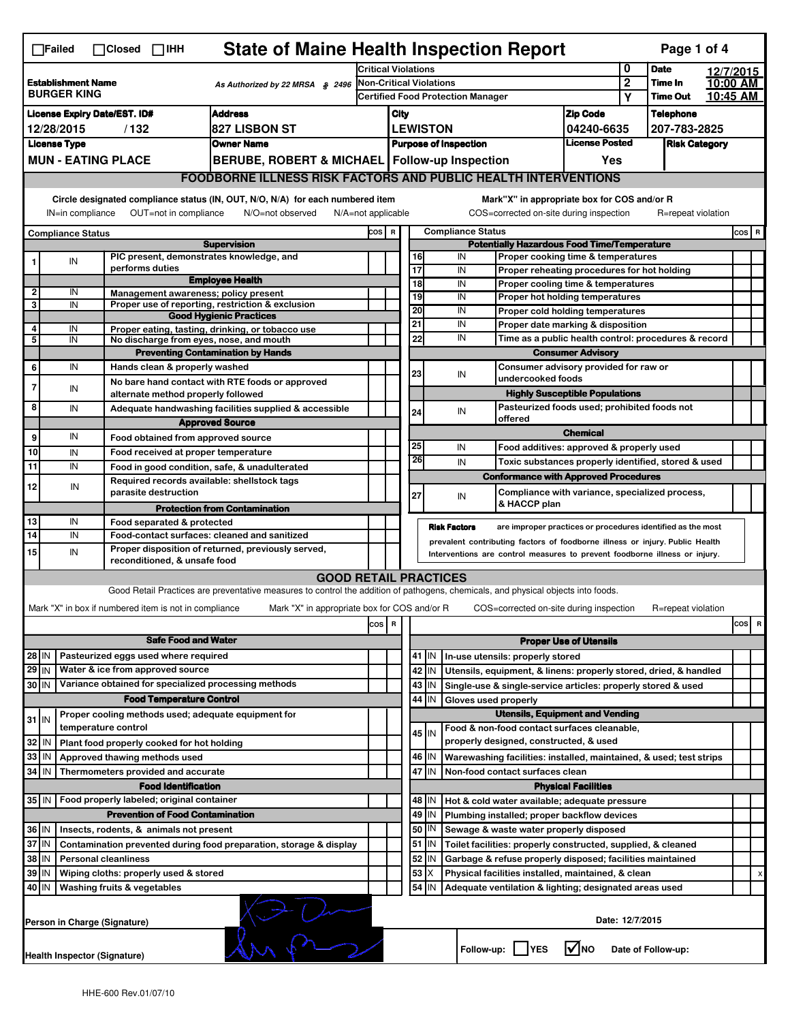| <b>State of Maine Health Inspection Report</b><br>Page 1 of 4<br>$\Box$ Failed<br>$\Box$ Closed $\Box$ IHH                                                                                                                                                                                |                                                                                                         |                                                       |                                                                                                                                   |                            |                                                       |                                                          |                                                      |                      |                                                                              |                               |                      |                    |           |          |  |
|-------------------------------------------------------------------------------------------------------------------------------------------------------------------------------------------------------------------------------------------------------------------------------------------|---------------------------------------------------------------------------------------------------------|-------------------------------------------------------|-----------------------------------------------------------------------------------------------------------------------------------|----------------------------|-------------------------------------------------------|----------------------------------------------------------|------------------------------------------------------|----------------------|------------------------------------------------------------------------------|-------------------------------|----------------------|--------------------|-----------|----------|--|
|                                                                                                                                                                                                                                                                                           |                                                                                                         |                                                       |                                                                                                                                   | <b>Critical Violations</b> |                                                       |                                                          |                                                      |                      |                                                                              | 0                             | <b>Date</b>          |                    | 12/7/2015 |          |  |
| <b>Establishment Name</b><br>As Authorized by 22 MRSA § 2496<br><b>BURGER KING</b>                                                                                                                                                                                                        |                                                                                                         |                                                       |                                                                                                                                   | Non-Critical Violations    |                                                       |                                                          |                                                      |                      | $\overline{2}$                                                               | Time In                       |                      | 10:00 AM           |           |          |  |
|                                                                                                                                                                                                                                                                                           |                                                                                                         |                                                       |                                                                                                                                   |                            |                                                       | <b>Certified Food Protection Manager</b>                 |                                                      |                      |                                                                              |                               | Υ                    | <b>Time Out</b>    |           | 10:45 AM |  |
| <b>Address</b><br><b>License Expiry Date/EST. ID#</b>                                                                                                                                                                                                                                     |                                                                                                         |                                                       |                                                                                                                                   |                            | City                                                  |                                                          |                                                      |                      | <b>Zip Code</b>                                                              |                               | <b>Telephone</b>     |                    |           |          |  |
| <b>827 LISBON ST</b><br>12/28/2015<br>/132                                                                                                                                                                                                                                                |                                                                                                         |                                                       |                                                                                                                                   |                            | <b>LEWISTON</b><br>04240-6635                         |                                                          |                                                      |                      |                                                                              | 207-783-2825                  |                      |                    |           |          |  |
|                                                                                                                                                                                                                                                                                           | <b>License Type</b>                                                                                     |                                                       | <b>Owner Name</b>                                                                                                                 |                            | <b>License Posted</b><br><b>Purpose of Inspection</b> |                                                          |                                                      |                      |                                                                              |                               | <b>Risk Category</b> |                    |           |          |  |
|                                                                                                                                                                                                                                                                                           | <b>MUN - EATING PLACE</b><br>BERUBE, ROBERT & MICHAEL   Follow-up Inspection                            |                                                       |                                                                                                                                   |                            |                                                       |                                                          |                                                      |                      |                                                                              | Yes                           |                      |                    |           |          |  |
|                                                                                                                                                                                                                                                                                           |                                                                                                         |                                                       | <b>FOODBORNE ILLNESS RISK FACTORS AND PUBLIC HEALTH INTERVENTIONS</b>                                                             |                            |                                                       |                                                          |                                                      |                      |                                                                              |                               |                      |                    |           |          |  |
| Circle designated compliance status (IN, OUT, N/O, N/A) for each numbered item<br>Mark"X" in appropriate box for COS and/or R<br>OUT=not in compliance<br>COS=corrected on-site during inspection<br>IN=in compliance<br>N/O=not observed<br>$N/A = not$ applicable<br>R=repeat violation |                                                                                                         |                                                       |                                                                                                                                   |                            |                                                       |                                                          |                                                      |                      |                                                                              |                               |                      |                    |           |          |  |
|                                                                                                                                                                                                                                                                                           | <b>Compliance Status</b>                                                                                |                                                       |                                                                                                                                   |                            | <b>Compliance Status</b><br>COS R                     |                                                          |                                                      |                      |                                                                              |                               |                      |                    |           | $cos$ R  |  |
|                                                                                                                                                                                                                                                                                           |                                                                                                         |                                                       | <b>Supervision</b>                                                                                                                |                            | <b>Potentially Hazardous Food Time/Temperature</b>    |                                                          |                                                      |                      |                                                                              |                               |                      |                    |           |          |  |
|                                                                                                                                                                                                                                                                                           | IN                                                                                                      |                                                       | PIC present, demonstrates knowledge, and                                                                                          |                            |                                                       |                                                          | 16                                                   | IN                   | Proper cooking time & temperatures                                           |                               |                      |                    |           |          |  |
|                                                                                                                                                                                                                                                                                           |                                                                                                         | performs duties                                       | <b>Employee Health</b>                                                                                                            |                            |                                                       | $\overline{17}$                                          |                                                      | IN                   | Proper reheating procedures for hot holding                                  |                               |                      |                    |           |          |  |
| $\overline{2}$                                                                                                                                                                                                                                                                            | IN                                                                                                      |                                                       | Management awareness; policy present                                                                                              |                            |                                                       |                                                          | $\overline{18}$<br>19                                | IN<br>IN             | Proper cooling time & temperatures<br>Proper hot holding temperatures        |                               |                      |                    |           |          |  |
| 3                                                                                                                                                                                                                                                                                         | IN                                                                                                      |                                                       | Proper use of reporting, restriction & exclusion                                                                                  |                            |                                                       | 20                                                       |                                                      | IN                   |                                                                              |                               |                      |                    |           |          |  |
|                                                                                                                                                                                                                                                                                           |                                                                                                         |                                                       | <b>Good Hygienic Practices</b>                                                                                                    |                            |                                                       | 21                                                       |                                                      | IN                   | Proper cold holding temperatures<br>Proper date marking & disposition        |                               |                      |                    |           |          |  |
| 4<br>5                                                                                                                                                                                                                                                                                    | IN<br>IN                                                                                                |                                                       | Proper eating, tasting, drinking, or tobacco use<br>No discharge from eyes, nose, and mouth                                       |                            |                                                       | 22                                                       |                                                      | IN                   | Time as a public health control: procedures & record                         |                               |                      |                    |           |          |  |
|                                                                                                                                                                                                                                                                                           |                                                                                                         |                                                       | <b>Preventing Contamination by Hands</b>                                                                                          |                            |                                                       |                                                          |                                                      |                      |                                                                              | <b>Consumer Advisory</b>      |                      |                    |           |          |  |
| 6                                                                                                                                                                                                                                                                                         | IN                                                                                                      | Hands clean & properly washed                         |                                                                                                                                   |                            |                                                       |                                                          |                                                      |                      | Consumer advisory provided for raw or                                        |                               |                      |                    |           |          |  |
|                                                                                                                                                                                                                                                                                           |                                                                                                         |                                                       | No bare hand contact with RTE foods or approved                                                                                   |                            |                                                       | 23                                                       |                                                      | IN                   | undercooked foods                                                            |                               |                      |                    |           |          |  |
| 7                                                                                                                                                                                                                                                                                         | IN                                                                                                      | alternate method properly followed                    |                                                                                                                                   |                            |                                                       |                                                          |                                                      |                      | <b>Highly Susceptible Populations</b>                                        |                               |                      |                    |           |          |  |
| 8                                                                                                                                                                                                                                                                                         | IN                                                                                                      |                                                       | Adequate handwashing facilities supplied & accessible                                                                             |                            |                                                       |                                                          | 24                                                   | IN                   | Pasteurized foods used; prohibited foods not                                 |                               |                      |                    |           |          |  |
|                                                                                                                                                                                                                                                                                           |                                                                                                         |                                                       | <b>Approved Source</b>                                                                                                            |                            |                                                       |                                                          |                                                      |                      | offered                                                                      |                               |                      |                    |           |          |  |
| 9                                                                                                                                                                                                                                                                                         | IN                                                                                                      | Food obtained from approved source                    |                                                                                                                                   |                            |                                                       |                                                          |                                                      |                      |                                                                              | <b>Chemical</b>               |                      |                    |           |          |  |
| 10                                                                                                                                                                                                                                                                                        | IN                                                                                                      | Food received at proper temperature                   |                                                                                                                                   |                            |                                                       | 25                                                       |                                                      | IN                   | Food additives: approved & properly used                                     |                               |                      |                    |           |          |  |
| 11                                                                                                                                                                                                                                                                                        | IN                                                                                                      |                                                       | Food in good condition, safe, & unadulterated                                                                                     |                            |                                                       |                                                          | 26                                                   | IN                   | Toxic substances properly identified, stored & used                          |                               |                      |                    |           |          |  |
|                                                                                                                                                                                                                                                                                           |                                                                                                         |                                                       | Required records available: shellstock tags                                                                                       |                            |                                                       |                                                          |                                                      |                      | <b>Conformance with Approved Procedures</b>                                  |                               |                      |                    |           |          |  |
| 12                                                                                                                                                                                                                                                                                        | IN                                                                                                      | parasite destruction                                  |                                                                                                                                   |                            |                                                       | 27                                                       |                                                      | IN                   | Compliance with variance, specialized process,                               |                               |                      |                    |           |          |  |
|                                                                                                                                                                                                                                                                                           |                                                                                                         |                                                       | <b>Protection from Contamination</b>                                                                                              |                            |                                                       |                                                          |                                                      |                      | & HACCP plan                                                                 |                               |                      |                    |           |          |  |
| 13                                                                                                                                                                                                                                                                                        | IN                                                                                                      | Food separated & protected                            |                                                                                                                                   |                            |                                                       |                                                          |                                                      | <b>Risk Factors</b>  | are improper practices or procedures identified as the most                  |                               |                      |                    |           |          |  |
| $\overline{14}$                                                                                                                                                                                                                                                                           | IN                                                                                                      |                                                       | Food-contact surfaces: cleaned and sanitized                                                                                      |                            |                                                       |                                                          |                                                      |                      | prevalent contributing factors of foodborne illness or injury. Public Health |                               |                      |                    |           |          |  |
| 15                                                                                                                                                                                                                                                                                        | IN                                                                                                      | reconditioned, & unsafe food                          | Proper disposition of returned, previously served,                                                                                |                            |                                                       |                                                          |                                                      |                      | Interventions are control measures to prevent foodborne illness or injury.   |                               |                      |                    |           |          |  |
|                                                                                                                                                                                                                                                                                           |                                                                                                         |                                                       | <b>GOOD RETAIL PRACTICES</b>                                                                                                      |                            |                                                       |                                                          |                                                      |                      |                                                                              |                               |                      |                    |           |          |  |
|                                                                                                                                                                                                                                                                                           |                                                                                                         |                                                       | Good Retail Practices are preventative measures to control the addition of pathogens, chemicals, and physical objects into foods. |                            |                                                       |                                                          |                                                      |                      |                                                                              |                               |                      |                    |           |          |  |
|                                                                                                                                                                                                                                                                                           |                                                                                                         |                                                       |                                                                                                                                   |                            |                                                       |                                                          |                                                      |                      |                                                                              |                               |                      |                    |           |          |  |
|                                                                                                                                                                                                                                                                                           |                                                                                                         | Mark "X" in box if numbered item is not in compliance | Mark "X" in appropriate box for COS and/or R                                                                                      |                            |                                                       |                                                          |                                                      |                      | COS=corrected on-site during inspection                                      |                               |                      | R=repeat violation |           |          |  |
|                                                                                                                                                                                                                                                                                           |                                                                                                         |                                                       |                                                                                                                                   | cos                        | R                                                     |                                                          |                                                      |                      |                                                                              |                               |                      |                    |           | cos<br>R |  |
|                                                                                                                                                                                                                                                                                           |                                                                                                         | <b>Safe Food and Water</b>                            |                                                                                                                                   |                            |                                                       |                                                          |                                                      |                      |                                                                              | <b>Proper Use of Utensils</b> |                      |                    |           |          |  |
| 28 IN                                                                                                                                                                                                                                                                                     |                                                                                                         | Pasteurized eggs used where required                  |                                                                                                                                   |                            |                                                       |                                                          | 41   IN                                              |                      | In-use utensils: properly stored                                             |                               |                      |                    |           |          |  |
| 29 IN                                                                                                                                                                                                                                                                                     |                                                                                                         | Water & ice from approved source                      |                                                                                                                                   |                            |                                                       |                                                          | 42 IN                                                |                      | Utensils, equipment, & linens: properly stored, dried, & handled             |                               |                      |                    |           |          |  |
| 30 IN                                                                                                                                                                                                                                                                                     |                                                                                                         | Variance obtained for specialized processing methods  |                                                                                                                                   |                            |                                                       |                                                          | 43   IN                                              |                      | Single-use & single-service articles: properly stored & used                 |                               |                      |                    |           |          |  |
|                                                                                                                                                                                                                                                                                           |                                                                                                         | <b>Food Temperature Control</b>                       |                                                                                                                                   |                            |                                                       |                                                          | 44<br>IN                                             | Gloves used properly |                                                                              |                               |                      |                    |           |          |  |
| $31$ IN                                                                                                                                                                                                                                                                                   |                                                                                                         | Proper cooling methods used; adequate equipment for   |                                                                                                                                   |                            |                                                       |                                                          |                                                      |                      | <b>Utensils, Equipment and Vending</b>                                       |                               |                      |                    |           |          |  |
|                                                                                                                                                                                                                                                                                           |                                                                                                         | temperature control                                   |                                                                                                                                   |                            |                                                       |                                                          | 45 IN                                                |                      | Food & non-food contact surfaces cleanable,                                  |                               |                      |                    |           |          |  |
| 32                                                                                                                                                                                                                                                                                        | IN                                                                                                      | Plant food properly cooked for hot holding            |                                                                                                                                   |                            |                                                       |                                                          |                                                      |                      | properly designed, constructed, & used                                       |                               |                      |                    |           |          |  |
| 33 IN                                                                                                                                                                                                                                                                                     |                                                                                                         | Approved thawing methods used                         |                                                                                                                                   |                            |                                                       |                                                          | 46   IN                                              |                      | Warewashing facilities: installed, maintained, & used; test strips           |                               |                      |                    |           |          |  |
| 34 IN                                                                                                                                                                                                                                                                                     |                                                                                                         | Thermometers provided and accurate                    |                                                                                                                                   |                            |                                                       | 47<br>IN<br>Non-food contact surfaces clean              |                                                      |                      |                                                                              |                               |                      |                    |           |          |  |
|                                                                                                                                                                                                                                                                                           |                                                                                                         | <b>Food Identification</b>                            |                                                                                                                                   |                            |                                                       |                                                          |                                                      |                      |                                                                              | <b>Physical Facilities</b>    |                      |                    |           |          |  |
|                                                                                                                                                                                                                                                                                           | Food properly labeled; original container<br>35   IN                                                    |                                                       |                                                                                                                                   |                            |                                                       | 48   IN<br>Hot & cold water available; adequate pressure |                                                      |                      |                                                                              |                               |                      |                    |           |          |  |
| <b>Prevention of Food Contamination</b>                                                                                                                                                                                                                                                   |                                                                                                         |                                                       |                                                                                                                                   |                            |                                                       |                                                          | 49 IN<br>Plumbing installed; proper backflow devices |                      |                                                                              |                               |                      |                    |           |          |  |
| 36 IN                                                                                                                                                                                                                                                                                     |                                                                                                         | Insects, rodents, & animals not present               |                                                                                                                                   |                            |                                                       |                                                          | 50   IN                                              |                      | Sewage & waste water properly disposed                                       |                               |                      |                    |           |          |  |
| 37 IN<br>Contamination prevented during food preparation, storage & display                                                                                                                                                                                                               |                                                                                                         |                                                       |                                                                                                                                   |                            |                                                       |                                                          | 51   IN                                              |                      | Toilet facilities: properly constructed, supplied, & cleaned                 |                               |                      |                    |           |          |  |
| 38 IN<br><b>Personal cleanliness</b>                                                                                                                                                                                                                                                      |                                                                                                         |                                                       |                                                                                                                                   |                            |                                                       |                                                          | 52<br>IN                                             |                      | Garbage & refuse properly disposed; facilities maintained                    |                               |                      |                    |           |          |  |
| 39 IN<br>Wiping cloths: properly used & stored                                                                                                                                                                                                                                            |                                                                                                         |                                                       |                                                                                                                                   |                            |                                                       |                                                          | 53<br>Х                                              |                      | Physical facilities installed, maintained, & clean                           |                               |                      |                    |           |          |  |
|                                                                                                                                                                                                                                                                                           | 54 IN<br>40 IN<br>Washing fruits & vegetables<br>Adequate ventilation & lighting; designated areas used |                                                       |                                                                                                                                   |                            |                                                       |                                                          |                                                      |                      |                                                                              |                               |                      |                    |           |          |  |
|                                                                                                                                                                                                                                                                                           | Date: 12/7/2015<br>Person in Charge (Signature)                                                         |                                                       |                                                                                                                                   |                            |                                                       |                                                          |                                                      |                      |                                                                              |                               |                      |                    |           |          |  |
| l√Ino<br>Follow-up:  <br>Date of Follow-up:<br><b>IYES</b><br>Health Inspector (Signature)                                                                                                                                                                                                |                                                                                                         |                                                       |                                                                                                                                   |                            |                                                       |                                                          |                                                      |                      |                                                                              |                               |                      |                    |           |          |  |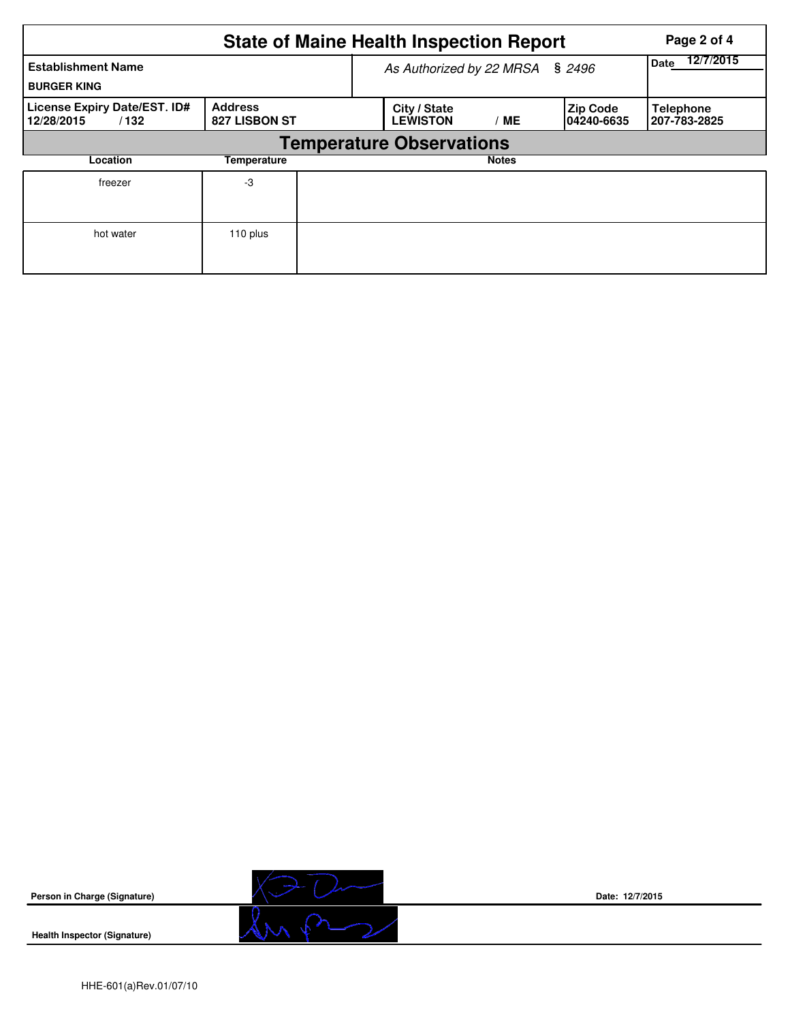|                                                    | <b>State of Maine Health Inspection Report</b><br>Page 2 of 4<br>12/7/2015 |  |                                 |              |                                |                                  |  |  |  |  |
|----------------------------------------------------|----------------------------------------------------------------------------|--|---------------------------------|--------------|--------------------------------|----------------------------------|--|--|--|--|
| <b>Establishment Name</b><br><b>BURGER KING</b>    |                                                                            |  | As Authorized by 22 MRSA § 2496 | Date         |                                |                                  |  |  |  |  |
| License Expiry Date/EST. ID#<br>12/28/2015<br>/132 | <b>Address</b><br>827 LISBON ST                                            |  | City / State<br><b>LEWISTON</b> | МE           | <b>Zip Code</b><br>104240-6635 | <b>Telephone</b><br>207-783-2825 |  |  |  |  |
|                                                    | <b>Temperature Observations</b>                                            |  |                                 |              |                                |                                  |  |  |  |  |
| Location                                           | Temperature                                                                |  |                                 | <b>Notes</b> |                                |                                  |  |  |  |  |
| freezer                                            | -3                                                                         |  |                                 |              |                                |                                  |  |  |  |  |
| hot water                                          | 110 plus                                                                   |  |                                 |              |                                |                                  |  |  |  |  |



**Date: 12/7/2015**

**Health Inspector (Signature)**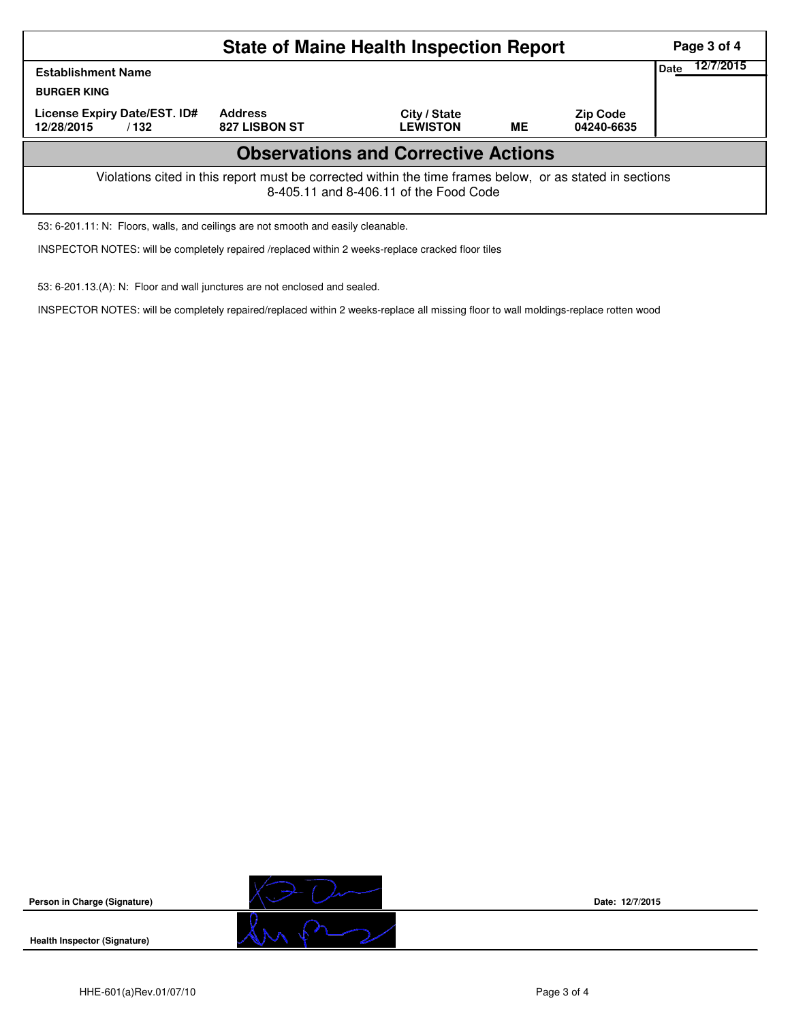|                                                                                                                                                    | Page 3 of 4                     |                                 |           |                               |  |  |  |  |  |
|----------------------------------------------------------------------------------------------------------------------------------------------------|---------------------------------|---------------------------------|-----------|-------------------------------|--|--|--|--|--|
| <b>Establishment Name</b>                                                                                                                          | Date                            | 12/7/2015                       |           |                               |  |  |  |  |  |
| <b>BURGER KING</b>                                                                                                                                 |                                 |                                 |           |                               |  |  |  |  |  |
| License Expiry Date/EST. ID#<br>12/28/2015<br>/132                                                                                                 | <b>Address</b><br>827 LISBON ST | City / State<br><b>LEWISTON</b> | <b>ME</b> | <b>Zip Code</b><br>04240-6635 |  |  |  |  |  |
| <b>Observations and Corrective Actions</b>                                                                                                         |                                 |                                 |           |                               |  |  |  |  |  |
| Violations cited in this report must be corrected within the time frames below, or as stated in sections<br>8-405.11 and 8-406.11 of the Food Code |                                 |                                 |           |                               |  |  |  |  |  |

53: 6-201.11: N: Floors, walls, and ceilings are not smooth and easily cleanable.

INSPECTOR NOTES: will be completely repaired /replaced within 2 weeks-replace cracked floor tiles

53: 6-201.13.(A): N: Floor and wall junctures are not enclosed and sealed.

INSPECTOR NOTES: will be completely repaired/replaced within 2 weeks-replace all missing floor to wall moldings-replace rotten wood



**Date: 12/7/2015**

**Health Inspector (Signature)**